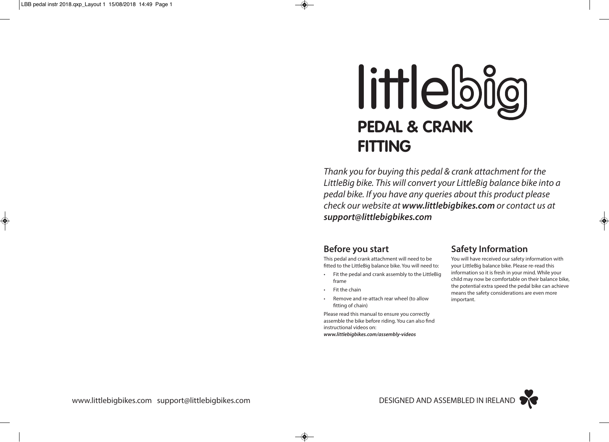◈

# littlebig **PEDAL & CRANK FITTING**

*Thank you for buying this pedal & crank attachment for the LittleBig bike. This will convert your LittleBig balance bike into a pedal bike. If you have any queries about this product please check our website at www.littlebigbikes.com or contact us at support@littlebigbikes.com*

### **Before you start**

This pedal and crank attachment will need to be fitted to the LittleBig balance bike. You will need to:

- Fit the pedal and crank assembly to the LittleBig frame
- Fit the chain

 $\bigcirc$ 

• Remove and re-attach rear wheel (to allow fitting of chain)

Please read this manual to ensure you correctly assemble the bike before riding. You can also find instructional videos on: *www.littlebigbikes.com/assembly-videos*

## **Safety Information**

You will have received our safety information with your LittleBig balance bike. Please re-read this information so it is fresh in your mind. While your child may now be comfortable on their balance bike, the potential extra speed the pedal bike can achieve means the safety considerations are even more important.